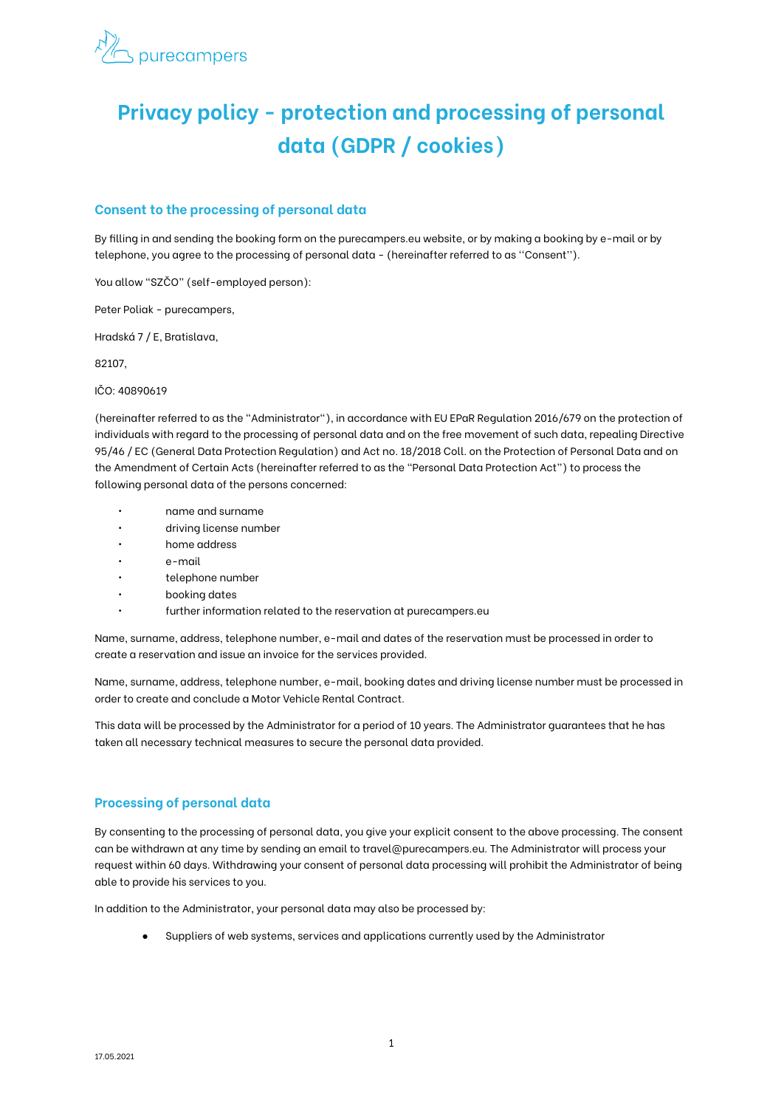

# **Privacy policy - protection and processing of personal data (GDPR / cookies)**

## **Consent to the processing of personal data**

By filling in and sending the booking form on the purecampers.eu website, or by making a booking by e-mail or by telephone, you agree to the processing of personal data - (hereinafter referred to as ''Consent'').

You allow "SZČO" (self-employed person):

Peter Poliak - purecampers,

Hradská 7 / E, Bratislava,

82107,

IČO: 40890619

(hereinafter referred to as the "Administrator"), in accordance with EU EPaR Regulation 2016/679 on the protection of individuals with regard to the processing of personal data and on the free movement of such data, repealing Directive 95/46 / EC (General Data Protection Regulation) and Act no. 18/2018 Coll. on the Protection of Personal Data and on the Amendment of Certain Acts (hereinafter referred to as the "Personal Data Protection Act") to process the following personal data of the persons concerned:

- name and surname
- driving license number
- home address
- e-mail
- telephone number
- booking dates
- further information related to the reservation at purecampers.eu

Name, surname, address, telephone number, e-mail and dates of the reservation must be processed in order to create a reservation and issue an invoice for the services provided.

Name, surname, address, telephone number, e-mail, booking dates and driving license number must be processed in order to create and conclude a Motor Vehicle Rental Contract.

This data will be processed by the Administrator for a period of 10 years. The Administrator guarantees that he has taken all necessary technical measures to secure the personal data provided.

#### **Processing of personal data**

By consenting to the processing of personal data, you give your explicit consent to the above processing. The consent can be withdrawn at any time by sending an email to travel@purecampers.eu. The Administrator will process your request within 60 days. Withdrawing your consent of personal data processing will prohibit the Administrator of being able to provide his services to you.

In addition to the Administrator, your personal data may also be processed by:

Suppliers of web systems, services and applications currently used by the Administrator